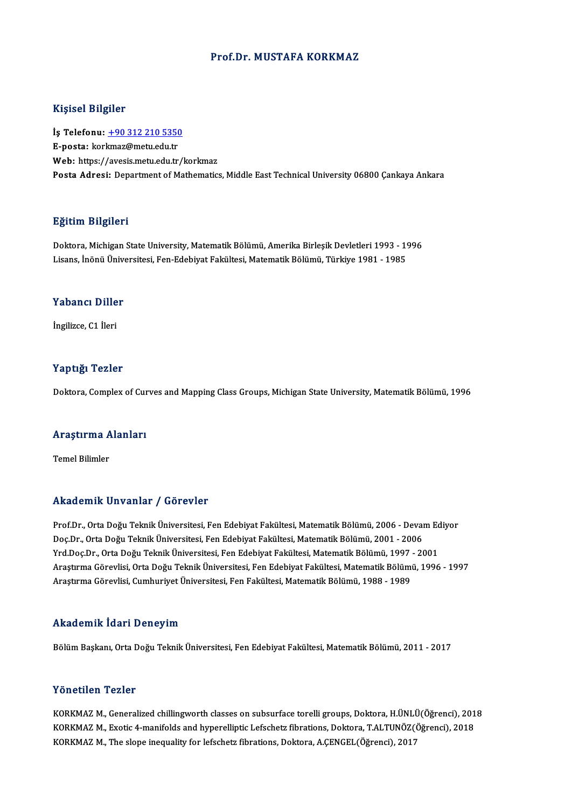### Prof.Dr. MUSTAFA KORKMAZ

### Kişisel Bilgiler

Kişisel Bilgiler<br>İş Telefonu: <u>+90 312 210 5350</u><br>E nosta: karkmaz@mstu adı tr miyisə: Engiler<br>İş Telefonu: <u>+90 312 210 5350</u><br>E-posta: kor[kmaz@metu.edu.tr](tel:+90 312 210 5350)<br>Web: https://avesis.metu.edu.tr E-posta: korkmaz@metu.edu.tr<br>Web: https://avesis.metu.edu.tr/korkmaz Posta Adresi: Department of Mathematics, Middle East Technical University 06800 Cankaya Ankara

### Eğitim Bilgileri

<mark>Eğitim Bilgileri</mark><br>Doktora, Michigan State University, Matematik Bölümü, Amerika Birleşik Devletleri 1993 - 1996<br>Lisans İnönü Üniversitesi, Een Edebiyat Fekültesi, Matematik Bölümü, Türkiye 1981 - 1995 Lisansın Daryarora<br>Doktora, Michigan State University, Matematik Bölümü, Amerika Birleşik Devletleri 1993 - 19<br>Lisans, İnönü Üniversitesi, Fen-Edebiyat Fakültesi, Matematik Bölümü, Türkiye 1981 - 1985 Lisans, İnönü Üniversitesi, Fen-Edebiyat Fakültesi, Matematik Bölümü, Türkiye 1981 - 1985<br>Yabancı Diller

İngilizce,C1 İleri

### Yaptığı Tezler

Doktora, Complex of Curves and Mapping Class Groups, Michigan State University, Matematik Bölümü, 1996

## <sub>Doktora, complex ol cur</sub><br>Araştırma Alanları <mark>Araştırma A</mark><br>Temel Bilimler

## Akademik Unvanlar / Görevler

Prof.Dr., Orta Doğu Teknik Üniversitesi, Fen Edebiyat Fakültesi, Matematik Bölümü, 2006 - Devam Ediyor Doç.Dr.,OrtaDoğuTeknikÜniversitesi,FenEdebiyatFakültesi,MatematikBölümü,2001 -2006 Prof.Dr., Orta Doğu Teknik Üniversitesi, Fen Edebiyat Fakültesi, Matematik Bölümü, 2006 - Devam Ed<br>Doç.Dr., Orta Doğu Teknik Üniversitesi, Fen Edebiyat Fakültesi, Matematik Bölümü, 2001 - 2006<br>Yrd.Doç.Dr., Orta Doğu Teknik Araştırma Görevlisi, Orta Doğu Teknik Üniversitesi, Fen Edebiyat Fakültesi, Matematik Bölümü, 1996 - 1997<br>Araştırma Görevlisi, Cumhuriyet Üniversitesi, Fen Fakültesi, Matematik Bölümü, 1988 - 1989 Yrd.Doç.Dr., Orta Doğu Teknik Üniversitesi, Fen Edebiyat Fakültesi, Matematik Bölümü, 1997<br>Araştırma Görevlisi, Orta Doğu Teknik Üniversitesi, Fen Edebiyat Fakültesi, Matematik Bölüm<br>Araştırma Görevlisi, Cumhuriyet Ünivers

#### Akademik İdari Deneyim

BölümBaşkanı,OrtaDoğuTeknikÜniversitesi,FenEdebiyatFakültesi,MatematikBölümü,2011 -2017

### Yönetilen Tezler

Yönetilen Tezler<br>KORKMAZ M., Generalized chillingworth classes on subsurface torelli groups, Doktora, H.ÜNLÜ(Öğrenci), 2018<br>KORKMAZ M. Evetis 4 manifalds and bynanellintis Lafasbett fibrations, Doktora, T.ALTUNÖZ(Öğrenci), YONUMAZ M., Generalized chillingworth classes on subsurface torelli groups, Doktora, H.ÜNLÜ(Öğrenci), 201<br>KORKMAZ M., Exotic 4-manifolds and hyperelliptic Lefschetz fibrations, Doktora, T.ALTUNÖZ(Öğrenci), 2018<br>KORKMAZ M., KORKMAZ M., Exotic 4-manifolds and hyperelliptic Lefschetz fibrations, Doktora, T.ALTUNÖZ(Öğrenci), 2018<br>KORKMAZ M., The slope inequality for lefschetz fibrations, Doktora, A.ÇENGEL(Öğrenci), 2017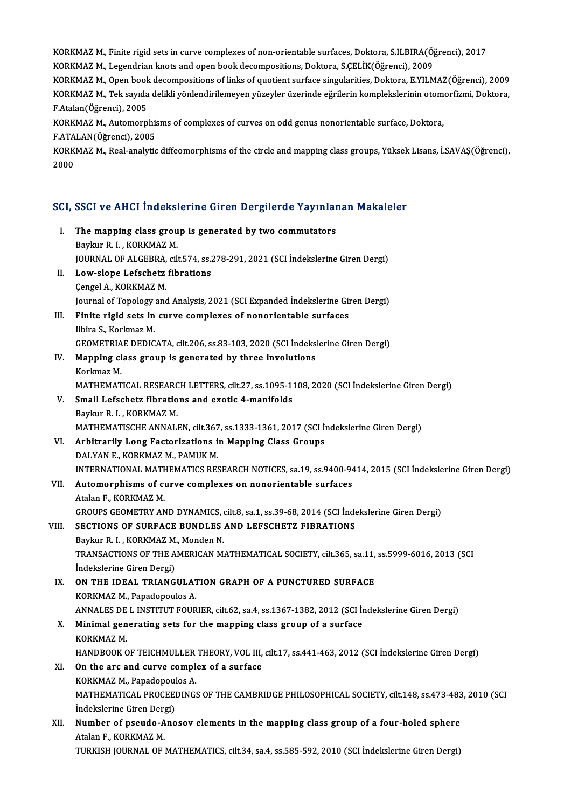KORKMAZ M., Finite rigid sets in curve complexes of non-orientable surfaces, Doktora, S.ILBIRA(Öğrenci), 2017<br>KORKMAZ M. Legandrian lingta and onen book decempositions. Doktora, S.CELİK(Öğrenci), 2000. KORKMAZ M., Finite rigid sets in curve complexes of non-orientable surfaces, Doktora, S.ILBIRA(Öğ<br>KORKMAZ M., Legendrian knots and open book decompositions, Doktora, S.ÇELİK(Öğrenci), 2009<br>KORKMAZ M. Open book decempositio KORKMAZ M., Finite rigid sets in curve complexes of non-orientable surfaces, Doktora, S.ILBIRA(Öğrenci), 2017<br>KORKMAZ M., Legendrian knots and open book decompositions, Doktora, S.ÇELİK(Öğrenci), 2009<br>KORKMAZ M., Open book

KORKMAZ M., Legendrian knots and open book decompositions, Doktora, S.ÇELİK(Öğrenci), 2009<br>KORKMAZ M., Open book decompositions of links of quotient surface singularities, Doktora, E.YILMAZ(Öğrenci), 2009<br>KORKMAZ M., Tek s KORKMAZ M., Open book<br>KORKMAZ M., Tek sayıda<br>F.Atalan(Öğrenci), 2005<br>KORKMAZ M. Automorn KORKMAZ M., Tek sayıda delikli yönlendirilemeyen yüzeyler üzerinde eğrilerin komplekslerinin otom<br>F.Atalan(Öğrenci), 2005<br>KORKMAZ M., Automorphisms of complexes of curves on odd genus nonorientable surface, Doktora,<br>E ATAL F.Atalan(Öğrenci), 2005<br>KORKMAZ M., Automorphis<br>F.ATALAN(Öğrenci), 2005<br>KORKMAZ M. Beal analytis

FATALAN(Öğrenci), 2005

KORKMAZM.,Real-analytic diffeomorphisms of the circle and mapping class groups, Yüksek Lisans, İ.SAVAŞ(Öğrenci),<br>2000

# 2000<br>SCI, SSCI ve AHCI İndekslerine Giren Dergilerde Yayınlanan Makaleler

|       | SCI, SSCI ve AHCI İndekslerine Giren Dergilerde Yayınlanan Makaleler                                 |
|-------|------------------------------------------------------------------------------------------------------|
| L     | The mapping class group is generated by two commutators<br>Baykur R. I., KORKMAZ M.                  |
|       | JOURNAL OF ALGEBRA, cilt.574, ss.278-291, 2021 (SCI Indekslerine Giren Dergi)                        |
| П.    | Low-slope Lefschetz fibrations                                                                       |
|       | Çengel A., KORKMAZ M.                                                                                |
|       | Journal of Topology and Analysis, 2021 (SCI Expanded Indekslerine Giren Dergi)                       |
| III.  | Finite rigid sets in curve complexes of nonorientable surfaces<br>Ilbira S., Korkmaz M.              |
|       | GEOMETRIAE DEDICATA, cilt.206, ss.83-103, 2020 (SCI İndekslerine Giren Dergi)                        |
| IV.   | Mapping class group is generated by three involutions                                                |
|       | Korkmaz M.                                                                                           |
|       | MATHEMATICAL RESEARCH LETTERS, cilt.27, ss.1095-1108, 2020 (SCI İndekslerine Giren Dergi)            |
| V.    | Small Lefschetz fibrations and exotic 4-manifolds                                                    |
|       | Baykur R. I., KORKMAZ M.                                                                             |
|       | MATHEMATISCHE ANNALEN, cilt.367, ss.1333-1361, 2017 (SCI İndekslerine Giren Dergi)                   |
| VI.   | Arbitrarily Long Factorizations in Mapping Class Groups                                              |
|       | DALYAN E, KORKMAZ M, PAMUK M.                                                                        |
|       | INTERNATIONAL MATHEMATICS RESEARCH NOTICES, sa.19, ss.9400-9414, 2015 (SCI İndekslerine Giren Dergi) |
| VII.  | Automorphisms of curve complexes on nonorientable surfaces                                           |
|       | Atalan F, KORKMAZ M.                                                                                 |
|       | GROUPS GEOMETRY AND DYNAMICS, cilt.8, sa.1, ss.39-68, 2014 (SCI Indekslerine Giren Dergi)            |
| VIII. | SECTIONS OF SURFACE BUNDLES AND LEFSCHETZ FIBRATIONS                                                 |
|       | Baykur R. I., KORKMAZ M., Monden N.                                                                  |
|       | TRANSACTIONS OF THE AMERICAN MATHEMATICAL SOCIETY, cilt.365, sa.11, ss.5999-6016, 2013 (SCI          |
|       | İndekslerine Giren Dergi)<br>ON THE IDEAL TRIANGULATION GRAPH OF A PUNCTURED SURFACE                 |
| IX.   | KORKMAZ M., Papadopoulos A.                                                                          |
|       | ANNALES DE L INSTITUT FOURIER, cilt.62, sa.4, ss.1367-1382, 2012 (SCI İndekslerine Giren Dergi)      |
| X.,   | Minimal generating sets for the mapping class group of a surface                                     |
|       | KORKMAZ M                                                                                            |
|       | HANDBOOK OF TEICHMULLER THEORY, VOL III, cilt.17, ss.441-463, 2012 (SCI İndekslerine Giren Dergi)    |
| XI.   | On the arc and curve complex of a surface                                                            |
|       | KORKMAZ M., Papadopoulos A.                                                                          |
|       | MATHEMATICAL PROCEEDINGS OF THE CAMBRIDGE PHILOSOPHICAL SOCIETY, cilt.148, ss.473-483, 2010 (SCI     |
|       | Indekslerine Giren Dergi)                                                                            |
| XII.  | Number of pseudo-Anosov elements in the mapping class group of a four-holed sphere                   |
|       | Atalan F., KORKMAZ M.                                                                                |
|       | TURKISH JOURNAL OF MATHEMATICS, cilt.34, sa.4, ss.585-592, 2010 (SCI İndekslerine Giren Dergi)       |
|       |                                                                                                      |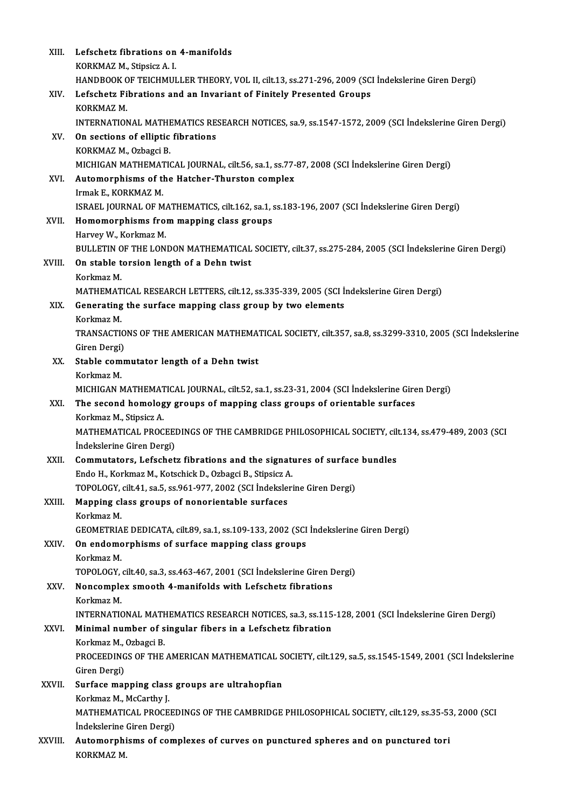| XIII.   | Lefschetz fibrations on 4-manifolds                                                                     |
|---------|---------------------------------------------------------------------------------------------------------|
|         | KORKMAZ M., Stipsicz A. I.                                                                              |
|         | HANDBOOK OF TEICHMULLER THEORY, VOL II, cilt.13, ss.271-296, 2009 (SCI Indekslerine Giren Dergi)        |
| XIV.    | Lefschetz Fibrations and an Invariant of Finitely Presented Groups                                      |
|         | KORKMAZ M.                                                                                              |
|         | INTERNATIONAL MATHEMATICS RESEARCH NOTICES, sa.9, ss.1547-1572, 2009 (SCI İndekslerine Giren Dergi)     |
| XV.     | On sections of elliptic fibrations                                                                      |
|         | KORKMAZ M., Ozbagci B.                                                                                  |
|         | MICHIGAN MATHEMATICAL JOURNAL, cilt.56, sa.1, ss.77-87, 2008 (SCI İndekslerine Giren Dergi)             |
| XVI.    | Automorphisms of the Hatcher-Thurston complex                                                           |
|         | Irmak E., KORKMAZ M.                                                                                    |
|         | ISRAEL JOURNAL OF MATHEMATICS, cilt.162, sa.1, ss.183-196, 2007 (SCI Indekslerine Giren Dergi)          |
| XVII.   | Homomorphisms from mapping class groups                                                                 |
|         | Harvey W., Korkmaz M.                                                                                   |
|         | BULLETIN OF THE LONDON MATHEMATICAL SOCIETY, cilt.37, ss.275-284, 2005 (SCI İndekslerine Giren Dergi)   |
| XVIII.  | On stable torsion length of a Dehn twist                                                                |
|         | Korkmaz M.                                                                                              |
|         | MATHEMATICAL RESEARCH LETTERS, cilt.12, ss.335-339, 2005 (SCI Indekslerine Giren Dergi)                 |
| XIX.    | Generating the surface mapping class group by two elements                                              |
|         | Korkmaz M.                                                                                              |
|         | TRANSACTIONS OF THE AMERICAN MATHEMATICAL SOCIETY, cilt.357, sa.8, ss.3299-3310, 2005 (SCI İndekslerine |
|         | Giren Dergi)                                                                                            |
| XX.     | Stable commutator length of a Dehn twist                                                                |
|         | Korkmaz M.                                                                                              |
|         | MICHIGAN MATHEMATICAL JOURNAL, cilt.52, sa.1, ss.23-31, 2004 (SCI İndekslerine Giren Dergi)             |
| XXI.    | The second homology groups of mapping class groups of orientable surfaces                               |
|         | Korkmaz M., Stipsicz A.                                                                                 |
|         | MATHEMATICAL PROCEEDINGS OF THE CAMBRIDGE PHILOSOPHICAL SOCIETY, cilt.134, ss.479-489, 2003 (SCI        |
|         | Indekslerine Giren Dergi)                                                                               |
| XXII.   | Commutators, Lefschetz fibrations and the signatures of surface bundles                                 |
|         | Endo H., Korkmaz M., Kotschick D., Ozbagci B., Stipsicz A.                                              |
|         | TOPOLOGY, cilt.41, sa.5, ss.961-977, 2002 (SCI İndekslerine Giren Dergi)                                |
| XXIII.  | Mapping class groups of nonorientable surfaces                                                          |
|         | Korkmaz M.                                                                                              |
|         | GEOMETRIAE DEDICATA, cilt.89, sa.1, ss.109-133, 2002 (SCI Indekslerine Giren Dergi)                     |
| XXIV.   | On endomorphisms of surface mapping class groups                                                        |
|         | Korkmaz M.                                                                                              |
|         | TOPOLOGY, cilt.40, sa.3, ss.463-467, 2001 (SCI Indekslerine Giren Dergi)                                |
| XXV.    | Noncomplex smooth 4-manifolds with Lefschetz fibrations                                                 |
|         | Korkmaz M.                                                                                              |
|         | INTERNATIONAL MATHEMATICS RESEARCH NOTICES, sa.3, ss.115-128, 2001 (SCI İndekslerine Giren Dergi)       |
| XXVI.   | Minimal number of singular fibers in a Lefschetz fibration                                              |
|         | Korkmaz M., Ozbagci B.                                                                                  |
|         | PROCEEDINGS OF THE AMERICAN MATHEMATICAL SOCIETY, cilt.129, sa.5, ss.1545-1549, 2001 (SCI Indekslerine  |
|         | Giren Dergi)                                                                                            |
| XXVII.  | Surface mapping class groups are ultrahopfian                                                           |
|         | Korkmaz M., McCarthy J.                                                                                 |
|         | MATHEMATICAL PROCEEDINGS OF THE CAMBRIDGE PHILOSOPHICAL SOCIETY, cilt.129, ss.35-53, 2000 (SCI          |
|         | Indekslerine Giren Dergi)                                                                               |
| XXVIII. | Automorphisms of complexes of curves on punctured spheres and on punctured tori                         |
|         | KORKMAZ M.                                                                                              |
|         |                                                                                                         |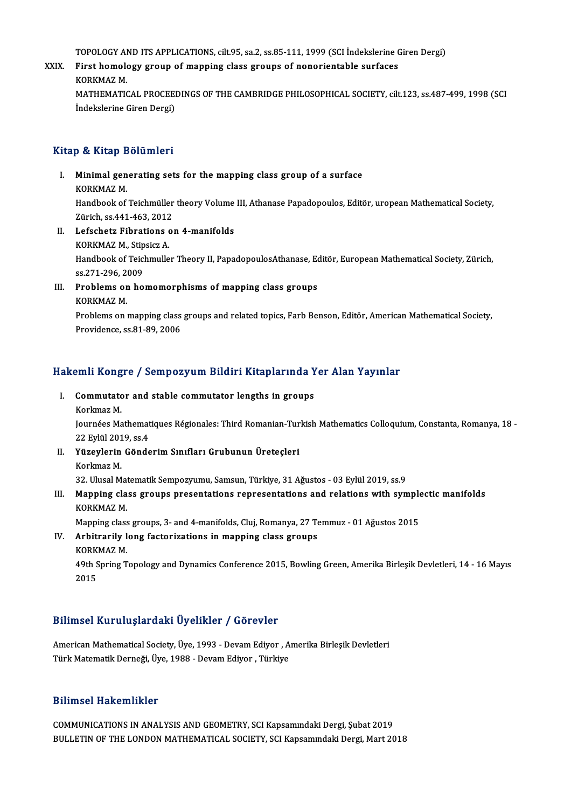TOPOLOGY AND ITS APPLICATIONS, cilt.95, sa.2, ss.85-111, 1999 (SCI İndekslerine Giren Dergi)<br>First bamalagy graun of manning slass grauns of nanariantable surfasse

### TOPOLOGY AND ITS APPLICATIONS, cilt.95, sa.2, ss.85-111, 1999 (SCI İndekslerine C<br>XXIX. First homology group of mapping class groups of nonorientable surfaces TOPOLOGY AN<br>First homole<br>KORKMAZ M.<br>MATHEMATIC First homology group of mapping class groups of nonorientable surfaces<br>KORKMAZ M.<br>MATHEMATICAL PROCEEDINGS OF THE CAMBRIDGE PHILOSOPHICAL SOCIETY, cilt.123, ss.487-499, 1998 (SCI<br>Indekalarine Ciren Dergi) KORKMAZ M.<br>MATHEMATICAL PROCEEI<br>İndekslerine Giren Dergi)

## İndekslerine Giren Dergi)<br>Kitap & Kitap Bölümleri

Itap & Kitap Bölümleri<br>I. Minimal generating sets for the mapping class group of a surface p & Hitap 2<br>Minimal gen<br>KORKMAZ M.<br>Handbook of

Minimal generating sets for the mapping class group of a surface<br>KORKMAZ M.<br>Handbook of Teichmüller theory Volume III, Athanase Papadopoulos, Editör, uropean Mathematical Society,<br>Zürish *es 441,462,* 2012 KORKMAZ M.<br>Handbook of Teichmüller<br>Zürich, ss.441-463, 2012<br>Lefssbetr Eibrations of Handbook of Teichmüller theory Volume<br>Zürich, ss.441-463, 2012<br>II. Lefschetz Fibrations on 4-manifolds<br>VORVMAZ M Stineigr A

Zürich, ss.441-463, 2012<br>II. Lefschetz Fibrations on 4-manifolds<br>KORKMAZ M., Stipsicz A.

Lefschetz Fibrations on 4-manifolds<br>KORKMAZ M., Stipsicz A.<br>Handbook of Teichmuller Theory II, PapadopoulosAthanase, Editör, European Mathematical Society, Zürich, KORKMAZ M., Stip<br>Handbook of Teicl<br>ss.271-296, 2009<br>Probloms on bo Handbook of Teichmuller Theory II, PapadopoulosAthanase, Economics, 2009<br>III. Problems on homomorphisms of mapping class groups<br>FOREMAZM

ss.271-296, 2<br>Problems or<br>KORKMAZ M.<br>Problems on 1

Problems on homomorphisms of mapping class groups<br>KORKMAZ M.<br>Problems on mapping class groups and related topics, Farb Benson, Editör, American Mathematical Society,<br>Providence ss 81, 89, 2006 KORKMAZ M.<br>Problems on mapping class<br>Providence, ss.81-89, 2006

# 11 Frovidence, ss.81-89, 2006<br>Hakemli Kongre / Sempozyum Bildiri Kitaplarında Yer Alan Yayınlar

akemli Kongre / Sempozyum Bildiri Kitaplarında Y<br>I. Commutator and stable commutator lengths in groups<br>Korkmaz M Commutator and stable commutator lengths in groups<br>Korkmaz M. Commutator and stable commutator lengths in groups<br>Korkmaz M.<br>Journées Mathematiques Régionales: Third Romanian-Turkish Mathematics Colloquium, Constanta, Romanya, 18 -<br>22 Erliil 2019, SS 4

Korkmaz M.<br>Journées Mathemat<br>22 Eylül 2019, ss.4<br>Vüzevlerin Gönde Journées Mathematiques Régionales: Third Romanian-Tur<br>22 Eylül 2019, ss.4<br>II. Yüzeylerin Gönderim Sınıfları Grubunun Üreteçleri<br>Karlmar M

22 Eylül 2019, ss.4<br>II. Yüzeylerin Gönderim Sınıfları Grubunun Üreteçleri<br>Korkmaz M. 32.UlusalMatematikSempozyumu,Samsun,Türkiye,31Ağustos -03Eylül2019, ss.9 Korkmaz M.<br>32. Ulusal Matematik Sempozyumu, Samsun, Türkiye, 31 Ağustos - 03 Eylül 2019, ss.9<br>III. Mapping class groups presentations representations and relations with symplectic manifolds<br>KORKM47 M

### 32. Ulusal Mat<br>Mapping cla<br>KORKMAZ M.<br>Manning class Mapping class groups presentations representations and relations with symple<br>KORKMAZ M.<br>Mapping class groups, 3- and 4-manifolds, Cluj, Romanya, 27 Temmuz - 01 Ağustos 2015<br>Arhitrarily long factorizations in manning class

KORKMAZ M.<br>Mapping class groups, 3- and 4-manifolds, Cluj, Romanya, 27 Te<br>IV. Arbitrarily long factorizations in mapping class groups<br>KORKMAZ M Mapping class<br><mark>Arbitrarily l</mark><br>KORKMAZ M.<br><sup>40th Spring T</mark></sup> KORKMAZ M.

49th Spring Topology and Dynamics Conference 2015, Bowling Green, Amerika Birleşik Devletleri, 14 - 16 Mayıs<br>2015

### Bilimsel KuruluşlardakiÜyelikler / Görevler

Bilimsel Kuruluşlardaki Üyelikler / Görevler<br>American Mathematical Society, Üye, 1993 - Devam Ediyor , Amerika Birleşik Devletleri<br>Türk Metematik Derneği Üye, 1988 - Devam Ediyon, Türkiye Diffinder fatt araçlar alını oyunmatı yılan evletlem<br>American Mathematical Society, Üye, 1993 - Devam Ediyor , A<br>Türk Matematik Derneği, Üye, 1988 - Devam Ediyor , Türkiye Türk Matematik Derneği, Üye, 1988 - Devam Ediyor , Türkiye<br>Bilimsel Hakemlikler

COMMUNICATIONS INANALYSISANDGEOMETRY,SCIKapsamındakiDergi,Şubat2019 BULLETIN OF THE LONDON MATHEMATICAL SOCIETY, SCI Kapsamındaki Dergi, Mart 2018